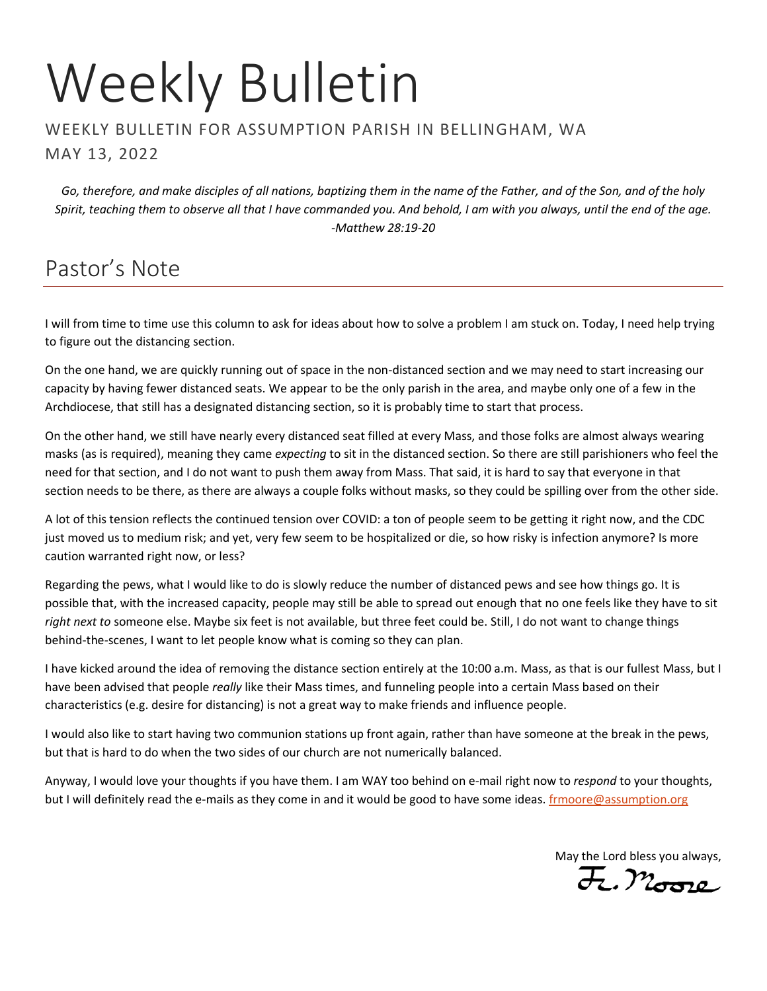# Weekly Bulletin

#### WEEKLY BULLETIN FOR ASSUMPTION PARISH IN BELLINGHAM, WA MAY 13, 2022

*Go, therefore, and make disciples of all nations, baptizing them in the name of the Father, and of the Son, and of the holy Spirit, teaching them to observe all that I have commanded you. And behold, I am with you always, until the end of the age. -Matthew 28:19-20*

# Pastor's Note

I will from time to time use this column to ask for ideas about how to solve a problem I am stuck on. Today, I need help trying to figure out the distancing section.

On the one hand, we are quickly running out of space in the non-distanced section and we may need to start increasing our capacity by having fewer distanced seats. We appear to be the only parish in the area, and maybe only one of a few in the Archdiocese, that still has a designated distancing section, so it is probably time to start that process.

On the other hand, we still have nearly every distanced seat filled at every Mass, and those folks are almost always wearing masks (as is required), meaning they came *expecting* to sit in the distanced section. So there are still parishioners who feel the need for that section, and I do not want to push them away from Mass. That said, it is hard to say that everyone in that section needs to be there, as there are always a couple folks without masks, so they could be spilling over from the other side.

A lot of this tension reflects the continued tension over COVID: a ton of people seem to be getting it right now, and the CDC just moved us to medium risk; and yet, very few seem to be hospitalized or die, so how risky is infection anymore? Is more caution warranted right now, or less?

Regarding the pews, what I would like to do is slowly reduce the number of distanced pews and see how things go. It is possible that, with the increased capacity, people may still be able to spread out enough that no one feels like they have to sit *right next to* someone else. Maybe six feet is not available, but three feet could be. Still, I do not want to change things behind-the-scenes, I want to let people know what is coming so they can plan.

I have kicked around the idea of removing the distance section entirely at the 10:00 a.m. Mass, as that is our fullest Mass, but I have been advised that people *really* like their Mass times, and funneling people into a certain Mass based on their characteristics (e.g. desire for distancing) is not a great way to make friends and influence people.

I would also like to start having two communion stations up front again, rather than have someone at the break in the pews, but that is hard to do when the two sides of our church are not numerically balanced.

Anyway, I would love your thoughts if you have them. I am WAY too behind on e-mail right now to *respond* to your thoughts, but I will definitely read the e-mails as they come in and it would be good to have some ideas. *[frmoore@assumption.org](mailto:frmoore@assumption.org)* 

May the Lord bless you always,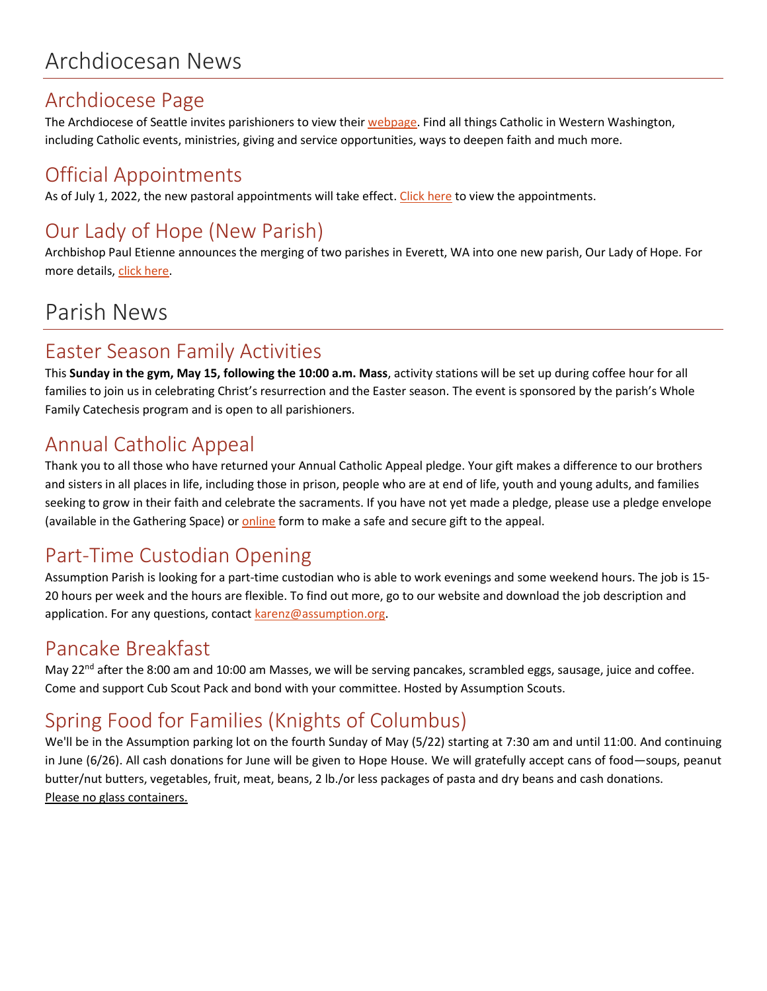## Archdiocese Page

The Archdiocese of Seattle invites parishioners to view their [webpage.](https://archseattle.org/) Find all things Catholic in Western Washington, including Catholic events, ministries, giving and service opportunities, ways to deepen faith and much more.

## Official Appointments

As of July 1, 2022, the new pastoral appointments will take effect. [Click here](https://seattlearch.app.box.com/s/x7iz9seg5ubcxgt30vdxtdp4g42ddrp0/file/954006284358) to view the appointments.

# Our Lady of Hope (New Parish)

Archbishop Paul Etienne announces the merging of two parishes in Everett, WA into one new parish, Our Lady of Hope. For more details[, click here.](https://seattlearch.app.box.com/s/0r8ata7a3h4mwnasd8fuv46q5xzyhgww)

# Parish News

## Easter Season Family Activities

This **Sunday in the gym, May 15, following the 10:00 a.m. Mass**, activity stations will be set up during coffee hour for all families to join us in celebrating Christ's resurrection and the Easter season. The event is sponsored by the parish's Whole Family Catechesis program and is open to all parishioners.

## Annual Catholic Appeal

Thank you to all those who have returned your Annual Catholic Appeal pledge. Your gift makes a difference to our brothers and sisters in all places in life, including those in prison, people who are at end of life, youth and young adults, and families seeking to grow in their faith and celebrate the sacraments. If you have not yet made a pledge, please use a pledge envelope (available in the Gathering Space) or [online](http://www.archseattle.org/GiveACA) form to make a safe and secure gift to the appeal.

## Part-Time Custodian Opening

Assumption Parish is looking for a part-time custodian who is able to work evenings and some weekend hours. The job is 15- 20 hours per week and the hours are flexible. To find out more, go to our website and download the job description and application. For any questions, contact [karenz@assumption.org.](mailto:karenz@assumption.org)

## Pancake Breakfast

May 22<sup>nd</sup> after the 8:00 am and 10:00 am Masses, we will be serving pancakes, scrambled eggs, sausage, juice and coffee. Come and support Cub Scout Pack and bond with your committee. Hosted by Assumption Scouts.

# Spring Food for Families (Knights of Columbus)

We'll be in the Assumption parking lot on the fourth Sunday of May (5/22) starting at 7:30 am and until 11:00. And continuing in June (6/26). All cash donations for June will be given to Hope House. We will gratefully accept cans of food—soups, peanut butter/nut butters, vegetables, fruit, meat, beans, 2 lb./or less packages of pasta and dry beans and cash donations. Please no glass containers.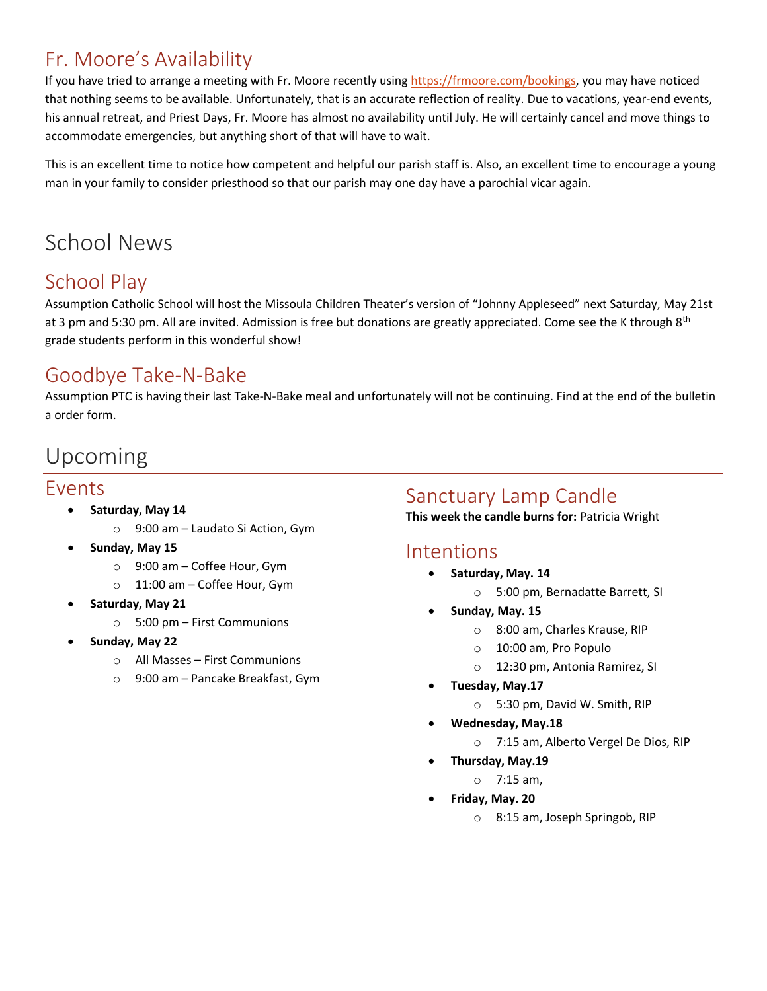## Fr. Moore's Availability

If you have tried to arrange a meeting with Fr. Moore recently using [https://frmoore.com/bookings,](https://frmoore.com/bookings) you may have noticed that nothing seems to be available. Unfortunately, that is an accurate reflection of reality. Due to vacations, year-end events, his annual retreat, and Priest Days, Fr. Moore has almost no availability until July. He will certainly cancel and move things to accommodate emergencies, but anything short of that will have to wait.

This is an excellent time to notice how competent and helpful our parish staff is. Also, an excellent time to encourage a young man in your family to consider priesthood so that our parish may one day have a parochial vicar again.

# School News

## School Play

Assumption Catholic School will host the Missoula Children Theater's version of "Johnny Appleseed" next Saturday, May 21st at 3 pm and 5:30 pm. All are invited. Admission is free but donations are greatly appreciated. Come see the K through 8<sup>th</sup> grade students perform in this wonderful show!

#### Goodbye Take-N-Bake

Assumption PTC is having their last Take-N-Bake meal and unfortunately will not be continuing. Find at the end of the bulletin a order form.

## Upcoming

#### Events

- **Saturday, May 14**
	- o 9:00 am Laudato Si Action, Gym
- **Sunday, May 15**
	- o 9:00 am Coffee Hour, Gym
	- o 11:00 am Coffee Hour, Gym
- **Saturday, May 21**
	- o 5:00 pm First Communions
- **Sunday, May 22**
	- o All Masses First Communions
	- o 9:00 am Pancake Breakfast, Gym

#### Sanctuary Lamp Candle

**This week the candle burns for:** Patricia Wright

#### Intentions

- **Saturday, May. 14**
	- o 5:00 pm, Bernadatte Barrett, SI
- **Sunday, May. 15**
	- o 8:00 am, Charles Krause, RIP
	- o 10:00 am, Pro Populo
	- o 12:30 pm, Antonia Ramirez, SI
- **Tuesday, May.17**
	- o 5:30 pm, David W. Smith, RIP
- **Wednesday, May.18**
	- o 7:15 am, Alberto Vergel De Dios, RIP
	- **Thursday, May.19**
		- o 7:15 am,
- **Friday, May. 20**
	- o 8:15 am, Joseph Springob, RIP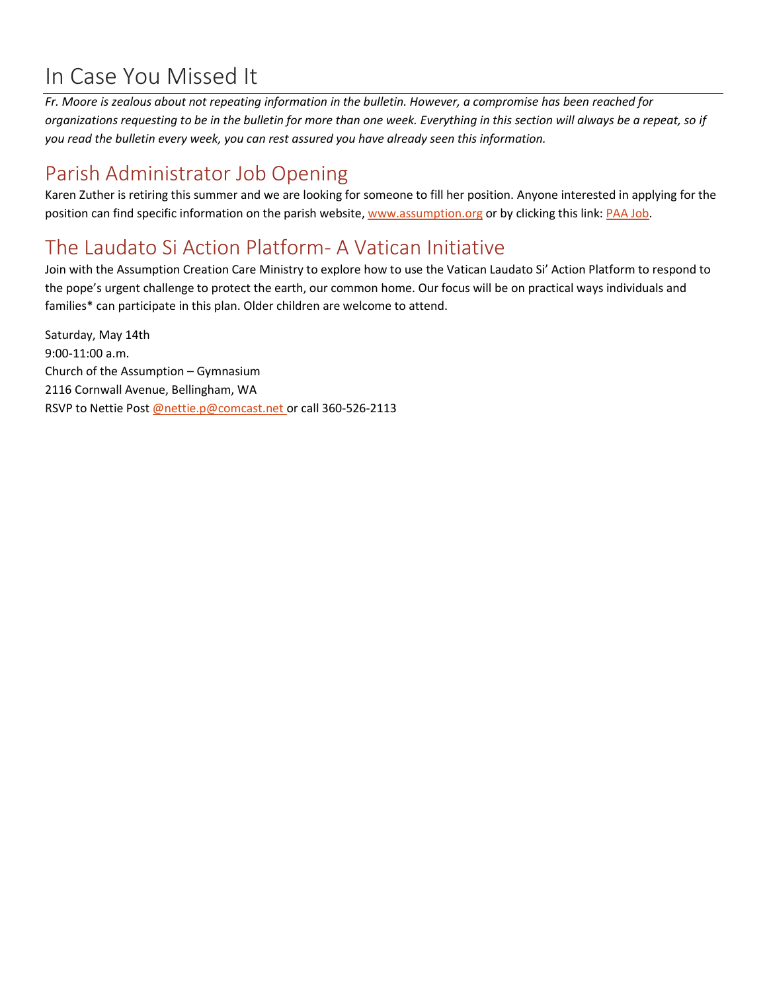# In Case You Missed It

*Fr. Moore is zealous about not repeating information in the bulletin. However, a compromise has been reached for organizations requesting to be in the bulletin for more than one week. Everything in this section will always be a repeat, so if you read the bulletin every week, you can rest assured you have already seen this information.*

## Parish Administrator Job Opening

Karen Zuther is retiring this summer and we are looking for someone to fill her position. Anyone interested in applying for the position can find specific information on the parish website[, www.assumption.org](http://www.assumption.org/) or by clicking this link: [PAA Job.](https://www.paycomonline.net/v4/ats/web.php/jobs/ViewJobDetails?job=75416&clientkey=BB7A931544EE535844C24FB8F8C1578D&jpt=6652dddda436b0a4152e5ee76ced0c6b)

## The Laudato Si Action Platform- A Vatican Initiative

Join with the Assumption Creation Care Ministry to explore how to use the Vatican Laudato Si' Action Platform to respond to the pope's urgent challenge to protect the earth, our common home. Our focus will be on practical ways individuals and families\* can participate in this plan. Older children are welcome to attend.

Saturday, May 14th 9:00-11:00 a.m. Church of the Assumption – Gymnasium 2116 Cornwall Avenue, Bellingham, WA RSVP to Nettie Post [@nettie.p@comcast.net o](mailto:@nettie.p@comcast.net)r call 360-526-2113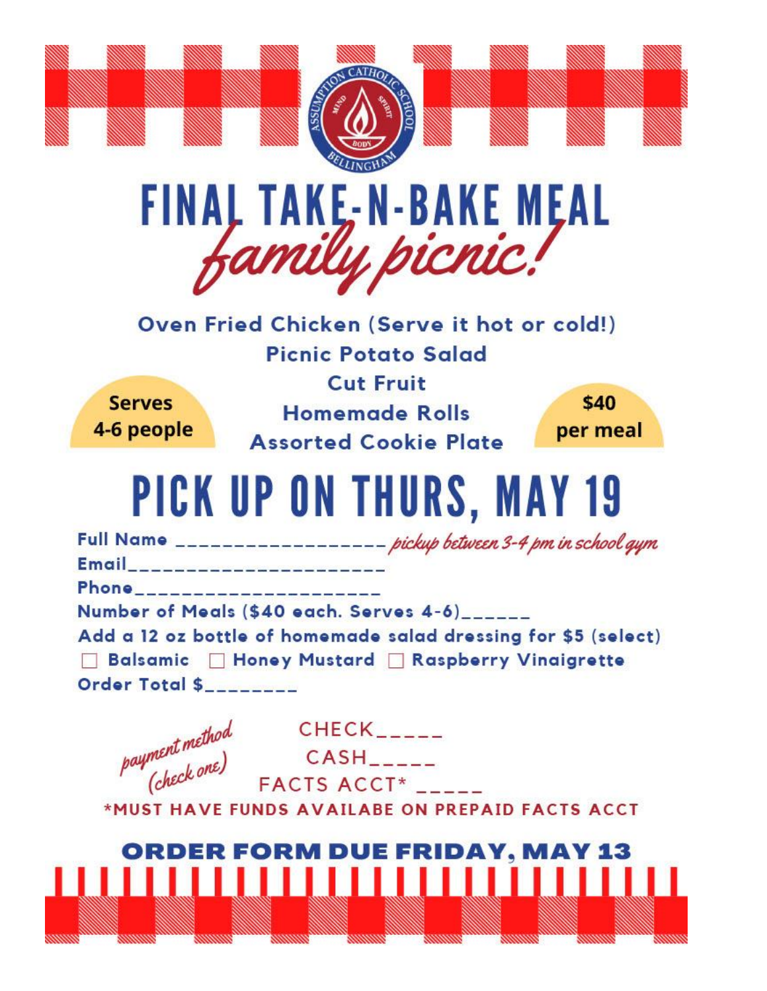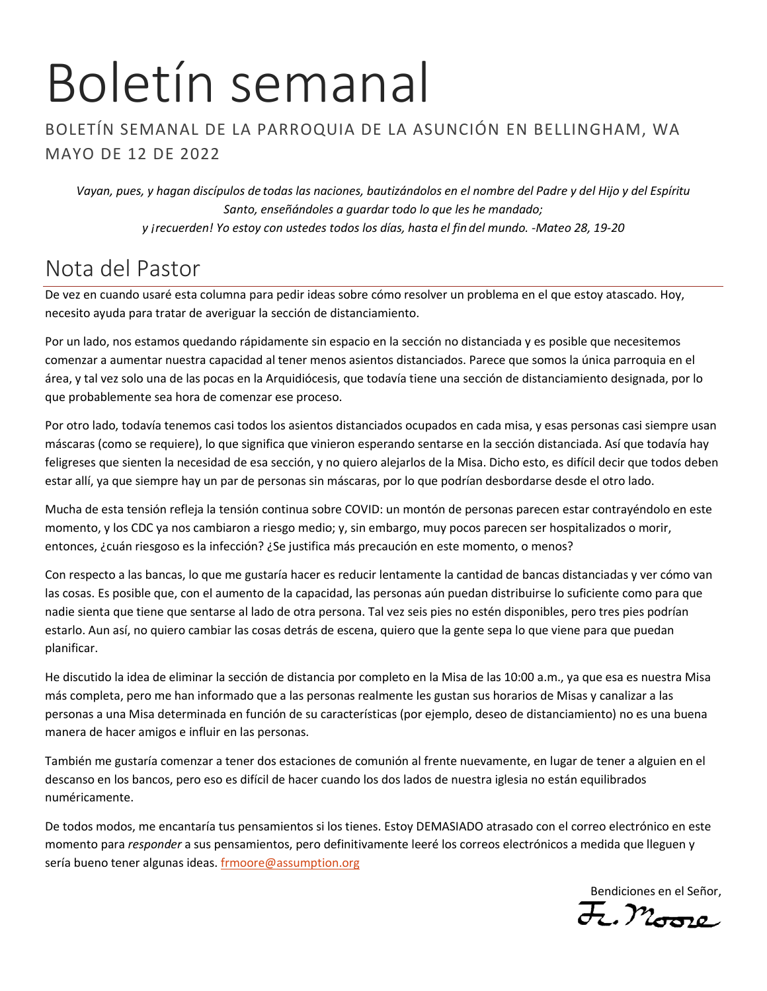# Boletín semanal

#### BOLETÍN SEMANAL DE LA PARROQUIA DE LA ASUNCIÓN EN BELLINGHAM, WA MAYO DE 12 DE 2022

*Vayan, pues, y hagan discípulos de todas las naciones, bautizándolos en el nombre del Padre y del Hijo y del Espíritu Santo, enseñándoles a guardar todo lo que les he mandado; y ¡recuerden! Yo estoy con ustedes todos los días, hasta el fin del mundo. -Mateo 28, 19-20*

# Nota del Pastor

De vez en cuando usaré esta columna para pedir ideas sobre cómo resolver un problema en el que estoy atascado. Hoy, necesito ayuda para tratar de averiguar la sección de distanciamiento.

Por un lado, nos estamos quedando rápidamente sin espacio en la sección no distanciada y es posible que necesitemos comenzar a aumentar nuestra capacidad al tener menos asientos distanciados. Parece que somos la única parroquia en el área, y tal vez solo una de las pocas en la Arquidiócesis, que todavía tiene una sección de distanciamiento designada, por lo que probablemente sea hora de comenzar ese proceso.

Por otro lado, todavía tenemos casi todos los asientos distanciados ocupados en cada misa, y esas personas casi siempre usan máscaras (como se requiere), lo que significa que vinieron esperando sentarse en la sección distanciada. Así que todavía hay feligreses que sienten la necesidad de esa sección, y no quiero alejarlos de la Misa. Dicho esto, es difícil decir que todos deben estar allí, ya que siempre hay un par de personas sin máscaras, por lo que podrían desbordarse desde el otro lado.

Mucha de esta tensión refleja la tensión continua sobre COVID: un montón de personas parecen estar contrayéndolo en este momento, y los CDC ya nos cambiaron a riesgo medio; y, sin embargo, muy pocos parecen ser hospitalizados o morir, entonces, ¿cuán riesgoso es la infección? ¿Se justifica más precaución en este momento, o menos?

Con respecto a las bancas, lo que me gustaría hacer es reducir lentamente la cantidad de bancas distanciadas y ver cómo van las cosas. Es posible que, con el aumento de la capacidad, las personas aún puedan distribuirse lo suficiente como para que nadie sienta que tiene que sentarse al lado de otra persona. Tal vez seis pies no estén disponibles, pero tres pies podrían estarlo. Aun así, no quiero cambiar las cosas detrás de escena, quiero que la gente sepa lo que viene para que puedan planificar.

He discutido la idea de eliminar la sección de distancia por completo en la Misa de las 10:00 a.m., ya que esa es nuestra Misa más completa, pero me han informado que a las personas realmente les gustan sus horarios de Misas y canalizar a las personas a una Misa determinada en función de su características (por ejemplo, deseo de distanciamiento) no es una buena manera de hacer amigos e influir en las personas.

También me gustaría comenzar a tener dos estaciones de comunión al frente nuevamente, en lugar de tener a alguien en el descanso en los bancos, pero eso es difícil de hacer cuando los dos lados de nuestra iglesia no están equilibrados numéricamente.

De todos modos, me encantaría tus pensamientos si los tienes. Estoy DEMASIADO atrasado con el correo electrónico en este momento para *responder* a sus pensamientos, pero definitivamente leeré los correos electrónicos a medida que lleguen y sería bueno tener algunas ideas. [frmoore@assumption.org](mailto:frmoore@assumption.org)

Bendiciones en el Señor,<br> $\overline{\mathcal{H}}$ ,  $\mathcal{W}_{\mathcal{H} \mathcal{H} \mathcal{P}}$ o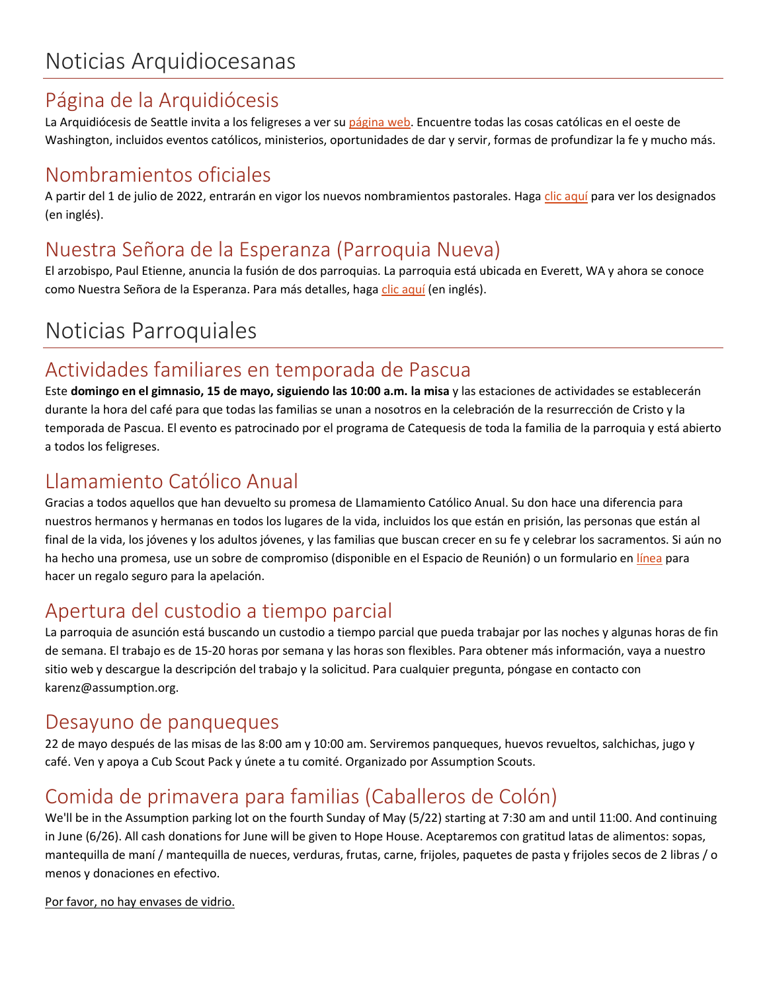## Página de la Arquidiócesis

La Arquidiócesis de Seattle invita a los feligreses a ver s[u página web.](https://archseattle.org/?lang=es) Encuentre todas las cosas católicas en el oeste de Washington, incluidos eventos católicos, ministerios, oportunidades de dar y servir, formas de profundizar la fe y mucho más.

## Nombramientos oficiales

A partir del 1 de julio de 2022, entrarán en vigor los nuevos nombramientos pastorales. Hag[a clic aquí](https://seattlearch.app.box.com/s/x7iz9seg5ubcxgt30vdxtdp4g42ddrp0/file/954006284358) para ver los designados (en inglés).

## Nuestra Señora de la Esperanza (Parroquia Nueva)

El arzobispo, Paul Etienne, anuncia la fusión de dos parroquias. La parroquia está ubicada en Everett, WA y ahora se conoce como Nuestra Señora de la Esperanza. Para más detalles, hag[a clic aquí](https://seattlearch.app.box.com/s/0r8ata7a3h4mwnasd8fuv46q5xzyhgww) (en inglés).

# Noticias Parroquiales

## Actividades familiares en temporada de Pascua

Este **domingo en el gimnasio, 15 de mayo, siguiendo las 10:00 a.m. la misa** y las estaciones de actividades se establecerán durante la hora del café para que todas las familias se unan a nosotros en la celebración de la resurrección de Cristo y la temporada de Pascua. El evento es patrocinado por el programa de Catequesis de toda la familia de la parroquia y está abierto a todos los feligreses.

## Llamamiento Católico Anual

Gracias a todos aquellos que han devuelto su promesa de Llamamiento Católico Anual. Su don hace una diferencia para nuestros hermanos y hermanas en todos los lugares de la vida, incluidos los que están en prisión, las personas que están al final de la vida, los jóvenes y los adultos jóvenes, y las familias que buscan crecer en su fe y celebrar los sacramentos. Si aún no ha hecho una promesa, use un sobre de compromiso (disponible en el Espacio de Reunión) o un formulario en [línea](https://archseattle.org/dar-y-servir/oportunidades-para-dar/peticion-catolica-anual/2022-aca-proximamente/?lang=es) para hacer un regalo seguro para la apelación.

## Apertura del custodio a tiempo parcial

La parroquia de asunción está buscando un custodio a tiempo parcial que pueda trabajar por las noches y algunas horas de fin de semana. El trabajo es de 15-20 horas por semana y las horas son flexibles. Para obtener más información, vaya a nuestro sitio web y descargue la descripción del trabajo y la solicitud. Para cualquier pregunta, póngase en contacto con karenz@assumption.org.

#### Desayuno de panqueques

22 de mayo después de las misas de las 8:00 am y 10:00 am. Serviremos panqueques, huevos revueltos, salchichas, jugo y café. Ven y apoya a Cub Scout Pack y únete a tu comité. Organizado por Assumption Scouts.

## Comida de primavera para familias (Caballeros de Colón)

We'll be in the Assumption parking lot on the fourth Sunday of May (5/22) starting at 7:30 am and until 11:00. And continuing in June (6/26). All cash donations for June will be given to Hope House. Aceptaremos con gratitud latas de alimentos: sopas, mantequilla de maní / mantequilla de nueces, verduras, frutas, carne, frijoles, paquetes de pasta y frijoles secos de 2 libras / o menos y donaciones en efectivo.

Por favor, no hay envases de vidrio.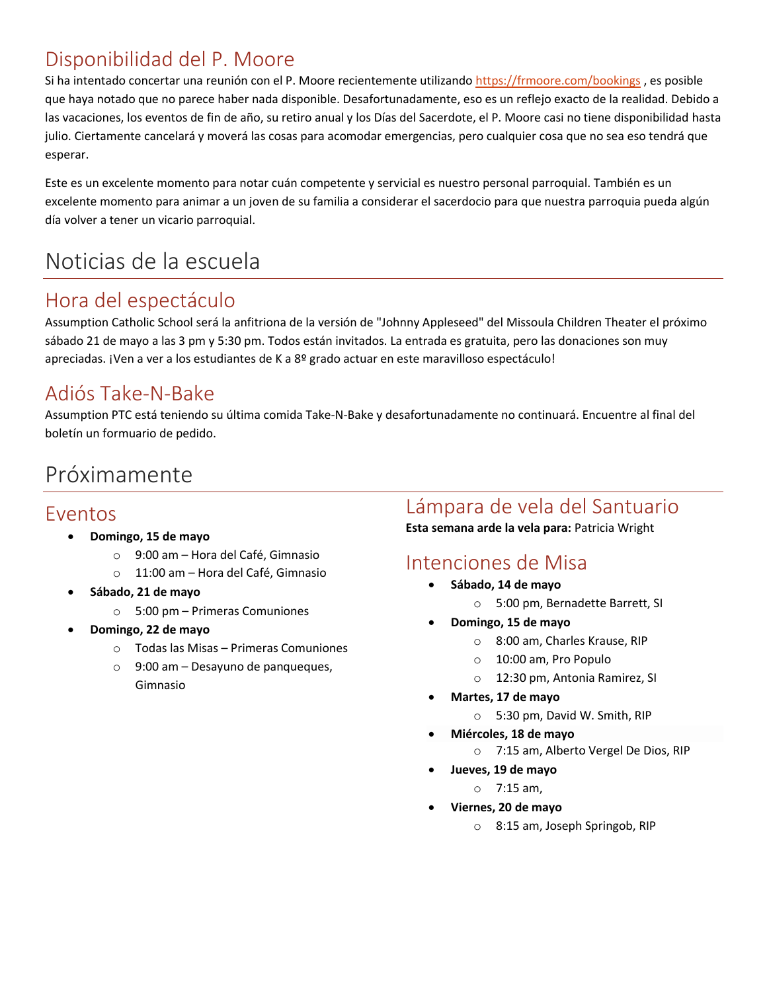## Disponibilidad del P. Moore

Si ha intentado concertar una reunión con el P. Moore recientemente utilizando<https://frmoore.com/bookings>, es posible que haya notado que no parece haber nada disponible. Desafortunadamente, eso es un reflejo exacto de la realidad. Debido a las vacaciones, los eventos de fin de año, su retiro anual y los Días del Sacerdote, el P. Moore casi no tiene disponibilidad hasta julio. Ciertamente cancelará y moverá las cosas para acomodar emergencias, pero cualquier cosa que no sea eso tendrá que esperar.

Este es un excelente momento para notar cuán competente y servicial es nuestro personal parroquial. También es un excelente momento para animar a un joven de su familia a considerar el sacerdocio para que nuestra parroquia pueda algún día volver a tener un vicario parroquial.

# Noticias de la escuela

## Hora del espectáculo

Assumption Catholic School será la anfitriona de la versión de "Johnny Appleseed" del Missoula Children Theater el próximo sábado 21 de mayo a las 3 pm y 5:30 pm. Todos están invitados. La entrada es gratuita, pero las donaciones son muy apreciadas. ¡Ven a ver a los estudiantes de K a 8º grado actuar en este maravilloso espectáculo!

## Adiós Take-N-Bake

Assumption PTC está teniendo su última comida Take-N-Bake y desafortunadamente no continuará. Encuentre al final del boletín un formuario de pedido.

# Próximamente

#### Eventos

- **Domingo, 15 de mayo**
	- o 9:00 am Hora del Café, Gimnasio
	- o 11:00 am Hora del Café, Gimnasio
- **Sábado, 21 de mayo**
	- o 5:00 pm Primeras Comuniones
- **Domingo, 22 de mayo**
	- o Todas las Misas Primeras Comuniones
	- o 9:00 am Desayuno de panqueques, Gimnasio

## Lámpara de vela del Santuario

**Esta semana arde la vela para:** Patricia Wright

## Intenciones de Misa

- **Sábado, 14 de mayo**
	- o 5:00 pm, Bernadette Barrett, SI
- **Domingo, 15 de mayo**
	- o 8:00 am, Charles Krause, RIP
	- o 10:00 am, Pro Populo
	- o 12:30 pm, Antonia Ramirez, SI
- **Martes, 17 de mayo**
	- o 5:30 pm, David W. Smith, RIP
- **Miércoles, 18 de mayo**
	- o 7:15 am, Alberto Vergel De Dios, RIP
- **Jueves, 19 de mayo**
	- o 7:15 am,
- **Viernes, 20 de mayo**
	- o 8:15 am, Joseph Springob, RIP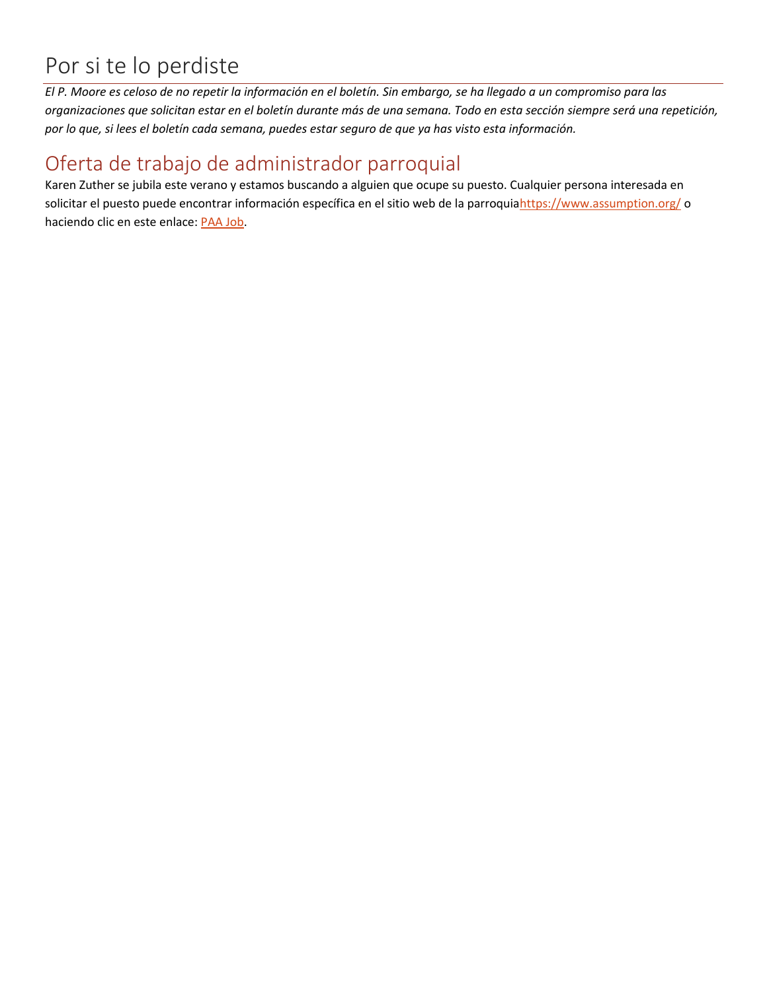# Por si te lo perdiste

*El P. Moore es celoso de no repetir la información en el boletín. Sin embargo, se ha llegado a un compromiso para las organizaciones que solicitan estar en el boletín durante más de una semana. Todo en esta sección siempre será una repetición, por lo que, si lees el boletín cada semana, puedes estar seguro de que ya has visto esta información.*

#### Oferta de trabajo de administrador parroquial

Karen Zuther se jubila este verano y estamos buscando a alguien que ocupe su puesto. Cualquier persona interesada en solicitar el puesto puede encontrar información específica en el sitio web de la parroqui[ahttps://www.assumption.org/](https://www.assumption.org/) o haciendo clic en este enlace: [PAA Job.](https://www.paycomonline.net/v4/ats/web.php/jobs/ViewJobDetails?job=75416&clientkey=BB7A931544EE535844C24FB8F8C1578D&jpt=6652dddda436b0a4152e5ee76ced0c6b)